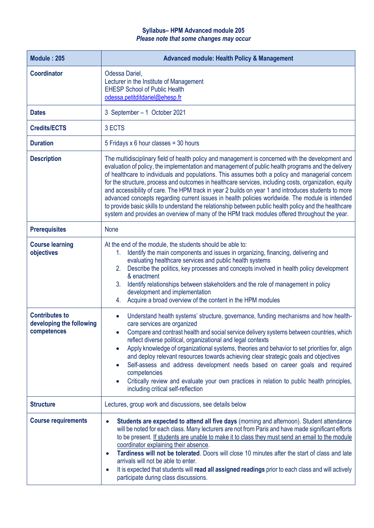## **Syllabus– HPM Advanced module 205** *Please note that some changes may occur*

| <b>Module: 205</b>                                               | <b>Advanced module: Health Policy &amp; Management</b>                                                                                                                                                                                                                                                                                                                                                                                                                                                                                                                                                                                                                                                                                                                                                                                   |
|------------------------------------------------------------------|------------------------------------------------------------------------------------------------------------------------------------------------------------------------------------------------------------------------------------------------------------------------------------------------------------------------------------------------------------------------------------------------------------------------------------------------------------------------------------------------------------------------------------------------------------------------------------------------------------------------------------------------------------------------------------------------------------------------------------------------------------------------------------------------------------------------------------------|
| <b>Coordinator</b>                                               | Odessa Dariel,<br>Lecturer in the Institute of Management<br><b>EHESP School of Public Health</b><br>odessa.petitditdariel@ehesp.fr                                                                                                                                                                                                                                                                                                                                                                                                                                                                                                                                                                                                                                                                                                      |
| <b>Dates</b>                                                     | 3 September - 1 October 2021                                                                                                                                                                                                                                                                                                                                                                                                                                                                                                                                                                                                                                                                                                                                                                                                             |
| <b>Credits/ECTS</b>                                              | 3 ECTS                                                                                                                                                                                                                                                                                                                                                                                                                                                                                                                                                                                                                                                                                                                                                                                                                                   |
| <b>Duration</b>                                                  | 5 Fridays x 6 hour classes = $30$ hours                                                                                                                                                                                                                                                                                                                                                                                                                                                                                                                                                                                                                                                                                                                                                                                                  |
| <b>Description</b>                                               | The multidisciplinary field of health policy and management is concerned with the development and<br>evaluation of policy, the implementation and management of public health programs and the delivery<br>of healthcare to individuals and populations. This assumes both a policy and managerial concern<br>for the structure, process and outcomes in healthcare services, including costs, organization, equity<br>and accessibility of care. The HPM track in year 2 builds on year 1 and introduces students to more<br>advanced concepts regarding current issues in health policies worldwide. The module is intended<br>to provide basic skills to understand the relationship between public health policy and the healthcare<br>system and provides an overview of many of the HPM track modules offered throughout the year. |
| <b>Prerequisites</b>                                             | <b>None</b>                                                                                                                                                                                                                                                                                                                                                                                                                                                                                                                                                                                                                                                                                                                                                                                                                              |
| <b>Course learning</b><br>objectives                             | At the end of the module, the students should be able to:<br>Identify the main components and issues in organizing, financing, delivering and<br>$1_{-}$<br>evaluating healthcare services and public health systems<br>Describe the politics, key processes and concepts involved in health policy development<br>2.<br>& enactment<br>Identify relationships between stakeholders and the role of management in policy<br>3.<br>development and implementation<br>Acquire a broad overview of the content in the HPM modules<br>4.                                                                                                                                                                                                                                                                                                     |
| <b>Contributes to</b><br>developing the following<br>competences | Understand health systems' structure, governance, funding mechanisms and how health-<br>$\bullet$<br>care services are organized<br>Compare and contrast health and social service delivery systems between countries, which<br>reflect diverse political, organizational and legal contexts<br>Apply knowledge of organizational systems, theories and behavior to set priorities for, align<br>$\bullet$<br>and deploy relevant resources towards achieving clear strategic goals and objectives<br>Self-assess and address development needs based on career goals and required<br>$\bullet$<br>competencies<br>Critically review and evaluate your own practices in relation to public health principles,<br>including critical self-reflection                                                                                      |
| <b>Structure</b>                                                 | Lectures, group work and discussions, see details below                                                                                                                                                                                                                                                                                                                                                                                                                                                                                                                                                                                                                                                                                                                                                                                  |
| <b>Course requirements</b>                                       | Students are expected to attend all five days (morning and afternoon). Student attendance<br>$\bullet$<br>will be noted for each class. Many lecturers are not from Paris and have made significant efforts<br>to be present. If students are unable to make it to class they must send an email to the module<br>coordinator explaining their absence.<br>Tardiness will not be tolerated. Doors will close 10 minutes after the start of class and late<br>$\bullet$<br>arrivals will not be able to enter.<br>It is expected that students will read all assigned readings prior to each class and will actively<br>$\bullet$<br>participate during class discussions.                                                                                                                                                                |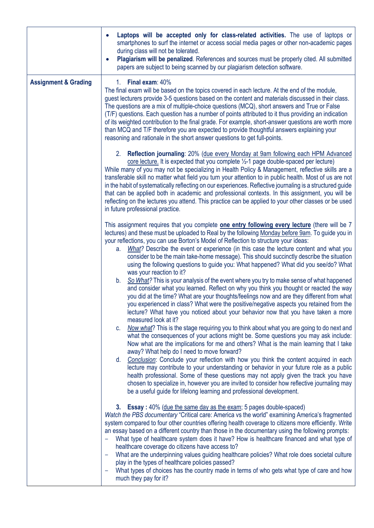|                                 | Laptops will be accepted only for class-related activities. The use of laptops or<br>$\bullet$<br>smartphones to surf the internet or access social media pages or other non-academic pages<br>during class will not be tolerated.<br>Plagiarism will be penalized. References and sources must be properly cited. All submitted<br>$\bullet$<br>papers are subject to being scanned by our plagiarism detection software.                                                                                                                                                                                                                                                                                                                                                                                                                                                                                                                                                                       |
|---------------------------------|--------------------------------------------------------------------------------------------------------------------------------------------------------------------------------------------------------------------------------------------------------------------------------------------------------------------------------------------------------------------------------------------------------------------------------------------------------------------------------------------------------------------------------------------------------------------------------------------------------------------------------------------------------------------------------------------------------------------------------------------------------------------------------------------------------------------------------------------------------------------------------------------------------------------------------------------------------------------------------------------------|
| <b>Assignment &amp; Grading</b> | 1. Final exam: 40%<br>The final exam will be based on the topics covered in each lecture. At the end of the module,<br>guest lecturers provide 3-5 questions based on the content and materials discussed in their class.<br>The questions are a mix of multiple-choice questions (MCQ), short answers and True or False<br>(T/F) questions. Each question has a number of points attributed to it thus providing an indication<br>of its weighted contribution to the final grade. For example, short-answer questions are worth more<br>than MCQ and T/F therefore you are expected to provide thoughtful answers explaining your<br>reasoning and rationale in the short answer questions to get full-points.                                                                                                                                                                                                                                                                                 |
|                                 | 2. Reflection journaling: 20% (due every Monday at 9am following each HPM Advanced<br>core lecture. It is expected that you complete $\frac{1}{2}$ -1 page double-spaced per lecture)<br>While many of you may not be specializing in Health Policy & Management, reflective skills are a<br>transferable skill no matter what field you turn your attention to in public health. Most of us are not<br>in the habit of systematically reflecting on our experiences. Reflective journaling is a structured guide<br>that can be applied both in academic and professional contexts. In this assignment, you will be<br>reflecting on the lectures you attend. This practice can be applied to your other classes or be used<br>in future professional practice.                                                                                                                                                                                                                                 |
|                                 | This assignment requires that you complete <b>one entry following every lecture</b> (there will be 7<br>lectures) and these must be uploaded to Real by the following Monday before 9am. To guide you in<br>your reflections, you can use Borton's Model of Reflection to structure your ideas:<br>What? Describe the event or experience (in this case the lecture content and what you<br>a.<br>consider to be the main take-home message). This should succinctly describe the situation<br>using the following questions to guide you: What happened? What did you see/do? What<br>was your reaction to it?<br>b. So What? This is your analysis of the event where you try to make sense of what happened<br>and consider what you learned. Reflect on why you think you thought or reacted the way<br>you did at the time? What are your thoughts/feelings now and are they different from what<br>you experienced in class? What were the positive/negative aspects you retained from the |
|                                 | lecture? What have you noticed about your behavior now that you have taken a more<br>measured look at it?<br>Now what? This is the stage requiring you to think about what you are going to do next and<br>C.<br>what the consequences of your actions might be. Some questions you may ask include:<br>Now what are the implications for me and others? What is the main learning that I take<br>away? What help do I need to move forward?<br>Conclusion: Conclude your reflection with how you think the content acquired in each<br>d.<br>lecture may contribute to your understanding or behavior in your future role as a public<br>health professional. Some of these questions may not apply given the track you have<br>chosen to specialize in, however you are invited to consider how reflective journaling may<br>be a useful guide for lifelong learning and professional development.                                                                                             |
|                                 | 3. Essay: 40% (due the same day as the exam; 5 pages double-spaced)<br>Watch the PBS documentary "Critical care: America vs the world" examining America's fragmented<br>system compared to four other countries offering health coverage to citizens more efficiently. Write<br>an essay based on a different country than those in the documentary using the following prompts:<br>What type of healthcare system does it have? How is healthcare financed and what type of<br>healthcare coverage do citizens have access to?<br>What are the underpinning values guiding healthcare policies? What role does societal culture<br>play in the types of healthcare policies passed?<br>What types of choices has the country made in terms of who gets what type of care and how<br>-<br>much they pay for it?                                                                                                                                                                                 |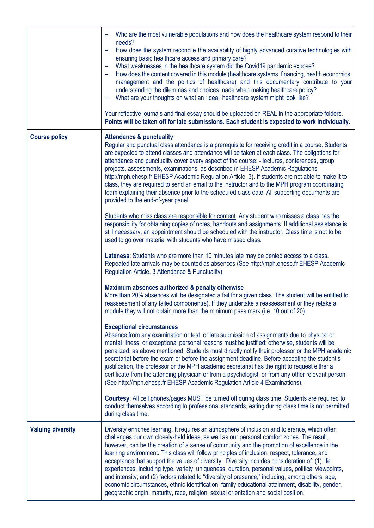|                          | Who are the most vulnerable populations and how does the healthcare system respond to their<br>needs?<br>How does the system reconcile the availability of highly advanced curative technologies with<br>÷<br>ensuring basic healthcare access and primary care?<br>What weaknesses in the healthcare system did the Covid19 pandemic expose?<br>How does the content covered in this module (healthcare systems, financing, health economics,<br>management and the politics of healthcare) and this documentary contribute to your<br>understanding the dilemmas and choices made when making healthcare policy?<br>What are your thoughts on what an "ideal' healthcare system might look like?<br>-<br>Your reflective journals and final essay should be uploaded on REAL in the appropriate folders.<br>Points will be taken off for late submissions. Each student is expected to work individually.                                                                        |
|--------------------------|------------------------------------------------------------------------------------------------------------------------------------------------------------------------------------------------------------------------------------------------------------------------------------------------------------------------------------------------------------------------------------------------------------------------------------------------------------------------------------------------------------------------------------------------------------------------------------------------------------------------------------------------------------------------------------------------------------------------------------------------------------------------------------------------------------------------------------------------------------------------------------------------------------------------------------------------------------------------------------|
| <b>Course policy</b>     | <b>Attendance &amp; punctuality</b><br>Regular and punctual class attendance is a prerequisite for receiving credit in a course. Students<br>are expected to attend classes and attendance will be taken at each class. The obligations for<br>attendance and punctuality cover every aspect of the course: - lectures, conferences, group<br>projects, assessments, examinations, as described in EHESP Academic Regulations<br>http://mph.ehesp.fr EHESP Academic Regulation Article. 3). If students are not able to make it to<br>class, they are required to send an email to the instructor and to the MPH program coordinating<br>team explaining their absence prior to the scheduled class date. All supporting documents are<br>provided to the end-of-year panel.<br>Students who miss class are responsible for content. Any student who misses a class has the<br>responsibility for obtaining copies of notes, handouts and assignments. If additional assistance is |
|                          | still necessary, an appointment should be scheduled with the instructor. Class time is not to be<br>used to go over material with students who have missed class.<br>Lateness: Students who are more than 10 minutes late may be denied access to a class.<br>Repeated late arrivals may be counted as absences (See http://mph.ehesp.fr EHESP Academic<br>Regulation Article. 3 Attendance & Punctuality)<br>Maximum absences authorized & penalty otherwise<br>More than 20% absences will be designated a fail for a given class. The student will be entitled to<br>reassessment of any failed component(s). If they undertake a reassessment or they retake a<br>module they will not obtain more than the minimum pass mark (i.e. 10 out of 20)                                                                                                                                                                                                                              |
|                          | <b>Exceptional circumstances</b><br>Absence from any examination or test, or late submission of assignments due to physical or<br>mental illness, or exceptional personal reasons must be justified; otherwise, students will be<br>penalized, as above mentioned. Students must directly notify their professor or the MPH academic<br>secretariat before the exam or before the assignment deadline. Before accepting the student's<br>justification, the professor or the MPH academic secretariat has the right to request either a<br>certificate from the attending physician or from a psychologist, or from any other relevant person<br>(See http://mph.ehesp.fr EHESP Academic Regulation Article 4 Examinations).<br>Courtesy: All cell phones/pages MUST be turned off during class time. Students are required to                                                                                                                                                     |
|                          | conduct themselves according to professional standards, eating during class time is not permitted<br>during class time.                                                                                                                                                                                                                                                                                                                                                                                                                                                                                                                                                                                                                                                                                                                                                                                                                                                            |
| <b>Valuing diversity</b> | Diversity enriches learning. It requires an atmosphere of inclusion and tolerance, which often<br>challenges our own closely-held ideas, as well as our personal comfort zones. The result,<br>however, can be the creation of a sense of community and the promotion of excellence in the<br>learning environment. This class will follow principles of inclusion, respect, tolerance, and<br>acceptance that support the values of diversity. Diversity includes consideration of: (1) life<br>experiences, including type, variety, uniqueness, duration, personal values, political viewpoints,<br>and intensity; and (2) factors related to "diversity of presence," including, among others, age,<br>economic circumstances, ethnic identification, family educational attainment, disability, gender,<br>geographic origin, maturity, race, religion, sexual orientation and social position.                                                                               |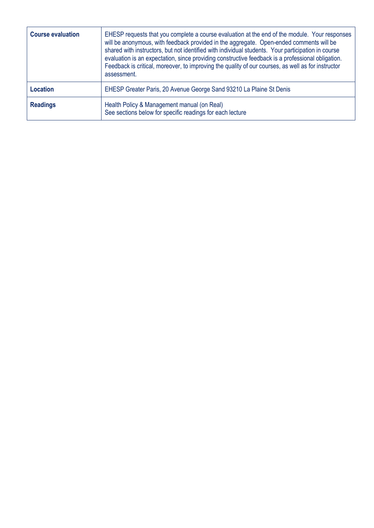| <b>Course evaluation</b> | EHESP requests that you complete a course evaluation at the end of the module. Your responses<br>will be anonymous, with feedback provided in the aggregate. Open-ended comments will be<br>shared with instructors, but not identified with individual students. Your participation in course<br>evaluation is an expectation, since providing constructive feedback is a professional obligation.<br>Feedback is critical, moreover, to improving the quality of our courses, as well as for instructor<br>assessment. |
|--------------------------|--------------------------------------------------------------------------------------------------------------------------------------------------------------------------------------------------------------------------------------------------------------------------------------------------------------------------------------------------------------------------------------------------------------------------------------------------------------------------------------------------------------------------|
| <b>Location</b>          | EHESP Greater Paris, 20 Avenue George Sand 93210 La Plaine St Denis                                                                                                                                                                                                                                                                                                                                                                                                                                                      |
| <b>Readings</b>          | Health Policy & Management manual (on Real)<br>See sections below for specific readings for each lecture                                                                                                                                                                                                                                                                                                                                                                                                                 |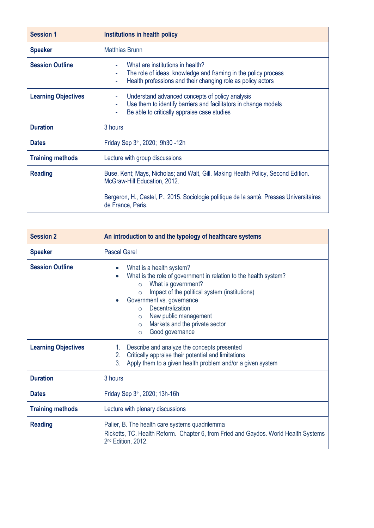| Institutions in health policy                                                                                                                                                                                                      |
|------------------------------------------------------------------------------------------------------------------------------------------------------------------------------------------------------------------------------------|
| <b>Matthias Brunn</b>                                                                                                                                                                                                              |
| What are institutions in health?<br>The role of ideas, knowledge and framing in the policy process<br>Health professions and their changing role as policy actors                                                                  |
| Understand advanced concepts of policy analysis<br>Use them to identify barriers and facilitators in change models<br>Be able to critically appraise case studies<br>۰                                                             |
| 3 hours                                                                                                                                                                                                                            |
| Friday Sep 3 <sup>th</sup> , 2020; 9h30 -12h                                                                                                                                                                                       |
| Lecture with group discussions                                                                                                                                                                                                     |
| Buse, Kent; Mays, Nicholas; and Walt, Gill. Making Health Policy, Second Edition.<br>McGraw-Hill Education, 2012.<br>Bergeron, H., Castel, P., 2015. Sociologie politique de la santé. Presses Universitaires<br>de France, Paris. |
|                                                                                                                                                                                                                                    |

| <b>Session 2</b>                                     | An introduction to and the typology of healthcare systems                                                                                                                                                                                                                                                                                                                                                                                |
|------------------------------------------------------|------------------------------------------------------------------------------------------------------------------------------------------------------------------------------------------------------------------------------------------------------------------------------------------------------------------------------------------------------------------------------------------------------------------------------------------|
| <b>Speaker</b>                                       | <b>Pascal Garel</b>                                                                                                                                                                                                                                                                                                                                                                                                                      |
| <b>Session Outline</b><br><b>Learning Objectives</b> | What is a health system?<br>$\bullet$<br>What is the role of government in relation to the health system?<br>What is government?<br>$\circ$<br>Impact of the political system (institutions)<br>$\circ$<br>Government vs. governance<br>Decentralization<br>$\Omega$<br>New public management<br>$\circ$<br>Markets and the private sector<br>$\circ$<br>Good governance<br>$\circ$<br>Describe and analyze the concepts presented<br>1. |
|                                                      | Critically appraise their potential and limitations<br>2.<br>3 <sub>1</sub><br>Apply them to a given health problem and/or a given system                                                                                                                                                                                                                                                                                                |
| <b>Duration</b>                                      | 3 hours                                                                                                                                                                                                                                                                                                                                                                                                                                  |
| <b>Dates</b>                                         | Friday Sep 3 <sup>th</sup> , 2020; 13h-16h                                                                                                                                                                                                                                                                                                                                                                                               |
| <b>Training methods</b>                              | Lecture with plenary discussions                                                                                                                                                                                                                                                                                                                                                                                                         |
| <b>Reading</b>                                       | Palier, B. The health care systems quadrilemma<br>Ricketts, TC. Health Reform. Chapter 6, from Fried and Gaydos. World Health Systems<br>2 <sup>nd</sup> Edition, 2012.                                                                                                                                                                                                                                                                  |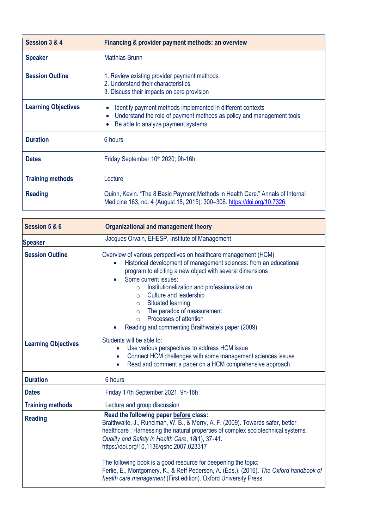| Session 3 & 4              | Financing & provider payment methods: an overview                                                                                                                         |
|----------------------------|---------------------------------------------------------------------------------------------------------------------------------------------------------------------------|
| <b>Speaker</b>             | <b>Matthias Brunn</b>                                                                                                                                                     |
| <b>Session Outline</b>     | 1. Review existing provider payment methods<br>2. Understand their characteristics<br>3. Discuss their impacts on care provision                                          |
| <b>Learning Objectives</b> | Identify payment methods implemented in different contexts<br>Understand the role of payment methods as policy and management tools<br>Be able to analyze payment systems |
| <b>Duration</b>            | 6 hours                                                                                                                                                                   |
| <b>Dates</b>               | Friday September 10th 2020; 9h-16h                                                                                                                                        |
| <b>Training methods</b>    | Lecture                                                                                                                                                                   |
| <b>Reading</b>             | Quinn, Kevin. "The 8 Basic Payment Methods in Health Care." Annals of Internal<br>Medicine 163, no. 4 (August 18, 2015): 300-306. https://doi.org/10.7326.                |

| Session 5 & 6              | <b>Organizational and management theory</b>                                                                                                                                                                                                                                                                                                                                                                                                                                                                                                  |
|----------------------------|----------------------------------------------------------------------------------------------------------------------------------------------------------------------------------------------------------------------------------------------------------------------------------------------------------------------------------------------------------------------------------------------------------------------------------------------------------------------------------------------------------------------------------------------|
| <b>Speaker</b>             | Jacques Orvain, EHESP, Institute of Management                                                                                                                                                                                                                                                                                                                                                                                                                                                                                               |
| <b>Session Outline</b>     | Overview of various perspectives on healthcare management (HCM)<br>Historical development of management sciences: from an educational<br>$\bullet$<br>program to eliciting a new object with several dimensions<br>Some current issues:<br>Institutionalization and professionalization<br>$\Omega$<br>Culture and leadership<br>$\circ$<br>Situated learning<br>$\circ$<br>The paradox of measurement<br>$\circ$<br>Processes of attention<br>$\circ$<br>Reading and commenting Braithwaite's paper (2009)                                  |
| <b>Learning Objectives</b> | Students will be able to:<br>Use various perspectives to address HCM issue<br>Connect HCM challenges with some management sciences issues<br>Read and comment a paper on a HCM comprehensive approach                                                                                                                                                                                                                                                                                                                                        |
| <b>Duration</b>            | 6 hours                                                                                                                                                                                                                                                                                                                                                                                                                                                                                                                                      |
| <b>Dates</b>               | Friday 17th September 2021; 9h-16h                                                                                                                                                                                                                                                                                                                                                                                                                                                                                                           |
| <b>Training methods</b>    | Lecture and group discussion                                                                                                                                                                                                                                                                                                                                                                                                                                                                                                                 |
| <b>Reading</b>             | Read the following paper before class:<br>Braithwaite, J., Runciman, W. B., & Merry, A. F. (2009). Towards safer, better<br>healthcare: Harnessing the natural properties of complex sociotechnical systems.<br>Quality and Safety in Health Care, 18(1), 37-41.<br>https://doi.org/10.1136/gshc.2007.023317<br>The following book is a good resource for deepening the topic:<br>Ferlie, E., Montgomery, K., & Reff Pedersen, A. (Éds.). (2016). The Oxford handbook of<br>health care management (First edition). Oxford University Press. |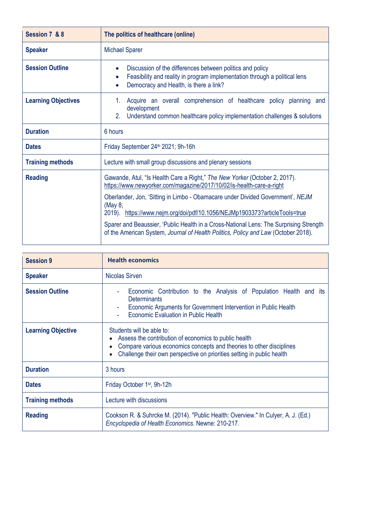| Session 7 & 8              | The politics of healthcare (online)                                                                                                                                                    |
|----------------------------|----------------------------------------------------------------------------------------------------------------------------------------------------------------------------------------|
| <b>Speaker</b>             | <b>Michael Sparer</b>                                                                                                                                                                  |
| <b>Session Outline</b>     | Discussion of the differences between politics and policy<br>Feasibility and reality in program implementation through a political lens<br>Democracy and Health, is there a link?      |
| <b>Learning Objectives</b> | Acquire an overall comprehension of healthcare policy planning and<br>1.<br>development<br>2 <sup>1</sup><br>Understand common healthcare policy implementation challenges & solutions |
| <b>Duration</b>            | 6 hours                                                                                                                                                                                |
| <b>Dates</b>               | Friday September 24 <sup>th</sup> 2021; 9h-16h                                                                                                                                         |
| <b>Training methods</b>    | Lecture with small group discussions and plenary sessions                                                                                                                              |
| <b>Reading</b>             | Gawande, Atul, "Is Health Care a Right," The New Yorker (October 2, 2017).<br>https://www.newyorker.com/magazine/2017/10/02/is-health-care-a-right                                     |
|                            | Oberlander, Jon, 'Sitting in Limbo - Obamacare under Divided Government', NEJM<br>(May 8,<br>2019). https://www.nejm.org/doi/pdf/10.1056/NEJMp1903373?articleTools=true                |
|                            | Sparer and Beaussier, 'Public Health in a Cross-National Lens: The Surprising Strength<br>of the American System, Journal of Health Politics, Policy and Law (October 2018).           |

| <b>Session 9</b>          | <b>Health economics</b>                                                                                                                                                                                                              |
|---------------------------|--------------------------------------------------------------------------------------------------------------------------------------------------------------------------------------------------------------------------------------|
| <b>Speaker</b>            | Nicolas Sirven                                                                                                                                                                                                                       |
| <b>Session Outline</b>    | Economic Contribution to the Analysis of Population Health and its<br><b>Determinants</b><br>Economic Arguments for Government Intervention in Public Health<br>Economic Evaluation in Public Health                                 |
| <b>Learning Objective</b> | Students will be able to:<br>Assess the contribution of economics to public health<br>Compare various economics concepts and theories to other disciplines<br>Challenge their own perspective on priorities setting in public health |
| <b>Duration</b>           | 3 hours                                                                                                                                                                                                                              |
| <b>Dates</b>              | Friday October 1 <sup>st</sup> , 9h-12h                                                                                                                                                                                              |
| <b>Training methods</b>   | Lecture with discussions                                                                                                                                                                                                             |
| <b>Reading</b>            | Cookson R. & Suhrcke M. (2014). "Public Health: Overview." In Culyer, A. J. (Ed.)<br>Encyclopedia of Health Economics. Newne: 210-217.                                                                                               |